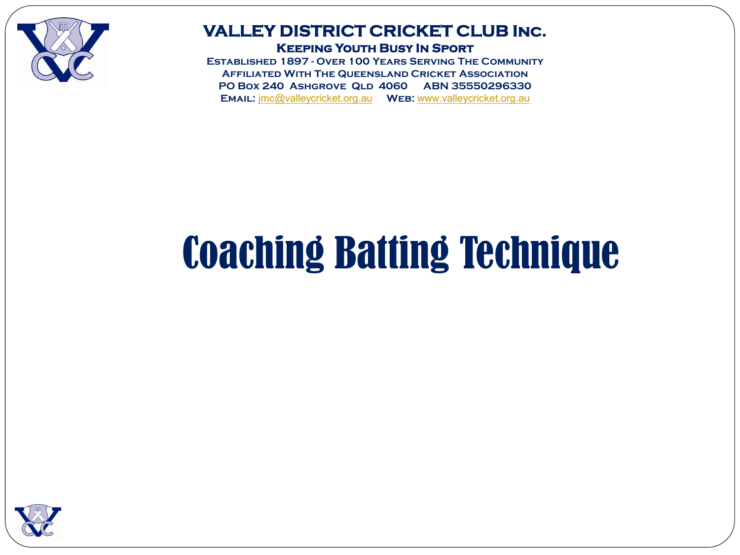

### **VALLEY DISTRICT CRICKET CLUB Inc. Keeping Youth Busy In Sport**

**Established 1897 - Over 100 Years Serving The Community Affiliated With The Queensland Cricket Association PO Box 240 Ashgrove Qld 4060 ABN 35550296330 Email:** [jmc@valleycricket.org.au](mailto:jmc@valleycricket.org.au) **Web:** [www.valleycricket.org.au](http://www.valleycricket.org.au/)

# Coaching Batting Technique

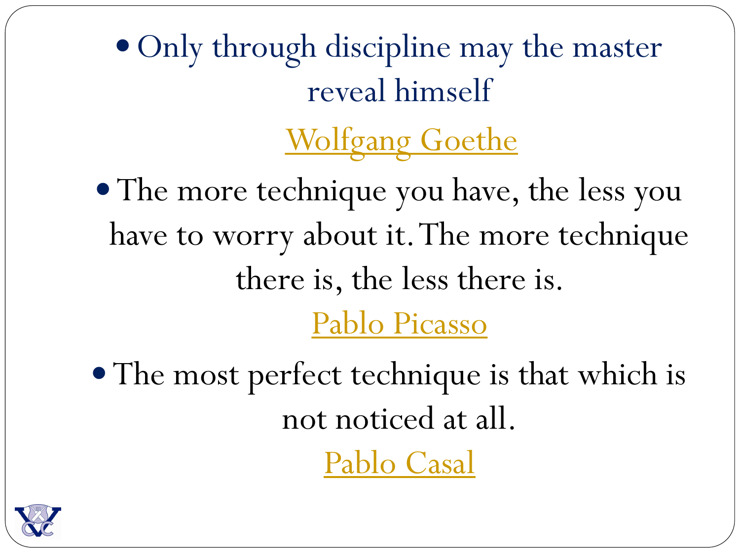• Only through discipline may the master reveal himself

**[Wolfgang Goethe](http://www.brainyquote.com/quotes/quotes/d/davebrubec261196.html)** 

• The more technique you have, the less you have to worry about it. The more technique there is, the less there is. [Pablo Picasso](http://www.brainyquote.com/quotes/quotes/p/pablopicas403128.html)

• The most perfect technique is that which is not noticed at all.

[Pablo Casal](http://www.brainyquote.com/quotes/quotes/p/pablocasal383201.html)

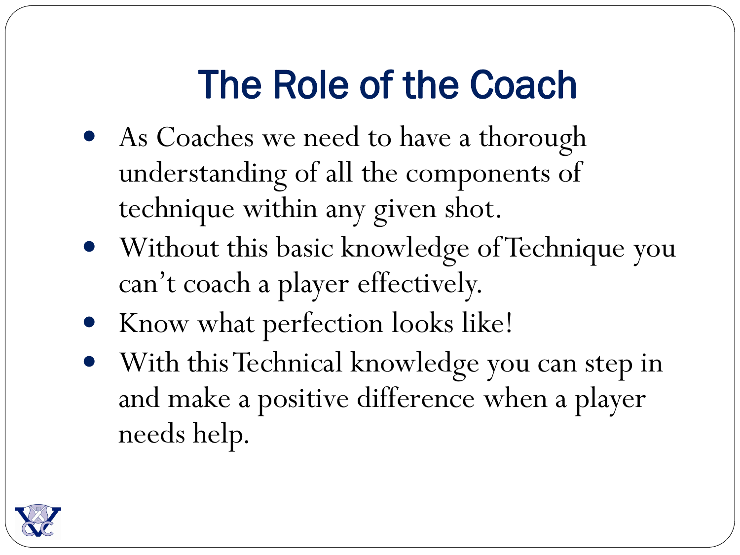# The Role of the Coach

- As Coaches we need to have a thorough understanding of all the components of technique within any given shot.
- Without this basic knowledge of Technique you can't coach a player effectively.
- Know what perfection looks like!
- With this Technical knowledge you can step in and make a positive difference when a player needs help.

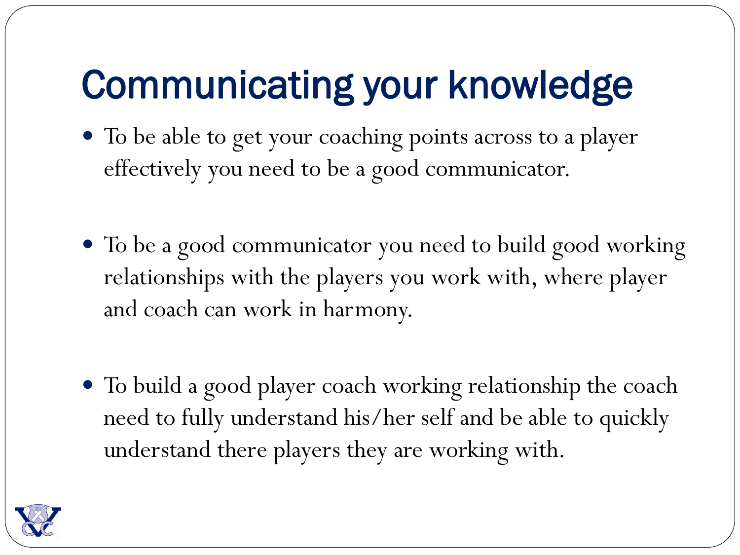# Communicating your knowledge

- To be able to get your coaching points across to a player effectively you need to be a good communicator.
- To be a good communicator you need to build good working relationships with the players you work with, where player and coach can work in harmony.
- To build a good player coach working relationship the coach need to fully understand his/her self and be able to quickly understand there players they are working with.

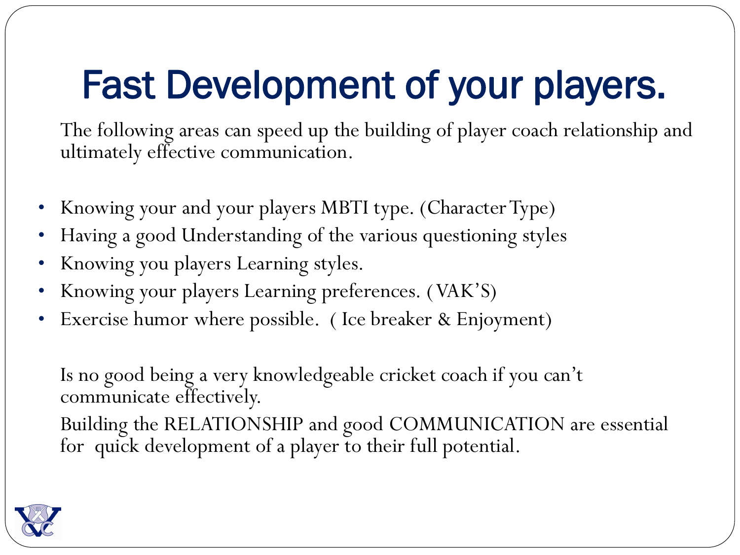# Fast Development of your players.

The following areas can speed up the building of player coach relationship and ultimately effective communication.

- Knowing your and your players MBTI type. (Character Type)
- Having a good Understanding of the various questioning styles
- Knowing you players Learning styles.
- Knowing your players Learning preferences. ( VAK'S)
- Exercise humor where possible. (Ice breaker & Enjoyment)

Is no good being a very knowledgeable cricket coach if you can't communicate effectively.

Building the RELATIONSHIP and good COMMUNICATION are essential for quick development of a player to their full potential.

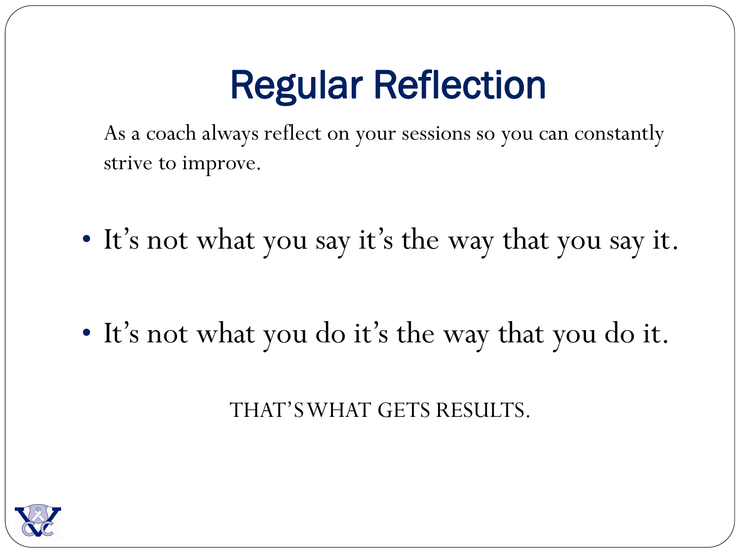# Regular Reflection

As a coach always reflect on your sessions so you can constantly strive to improve.

• It's not what you say it's the way that you say it.

• It's not what you do it's the way that you do it.

THAT'S WHAT GETS RESULTS.

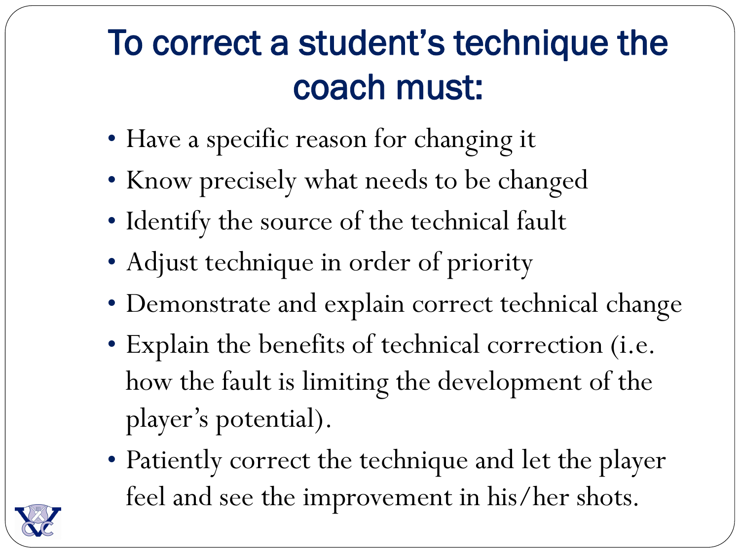### To correct a student's technique the coach must:

- Have a specific reason for changing it
- Know precisely what needs to be changed
- Identify the source of the technical fault
- Adjust technique in order of priority
- Demonstrate and explain correct technical change
- Explain the benefits of technical correction (i.e. how the fault is limiting the development of the player's potential).
- Patiently correct the technique and let the player feel and see the improvement in his/her shots.

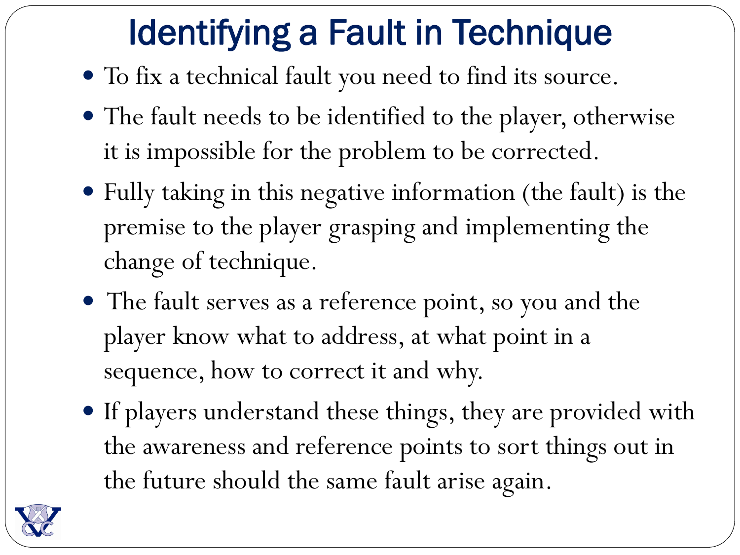### Identifying a Fault in Technique

- To fix a technical fault you need to find its source.
- The fault needs to be identified to the player, otherwise it is impossible for the problem to be corrected.
- Fully taking in this negative information (the fault) is the premise to the player grasping and implementing the change of technique.
- The fault serves as a reference point, so you and the player know what to address, at what point in a sequence, how to correct it and why.
- If players understand these things, they are provided with the awareness and reference points to sort things out in the future should the same fault arise again.

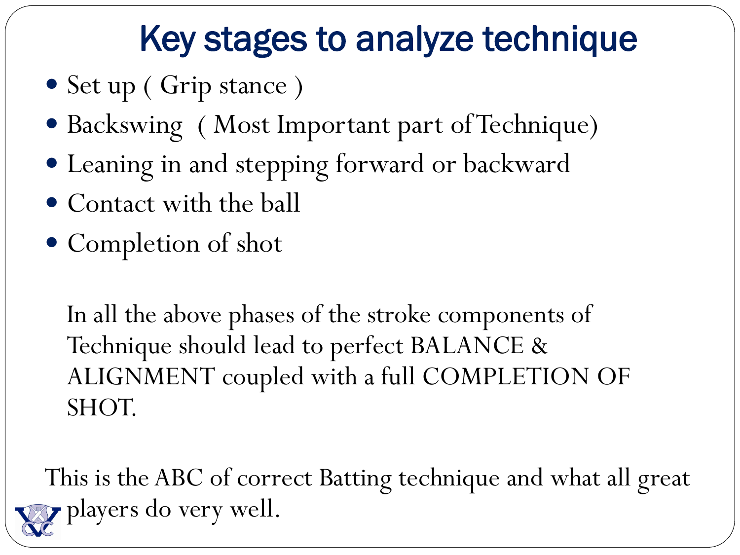### Key stages to analyze technique

- Set up ( Grip stance )
- Backswing ( Most Important part of Technique)
- Leaning in and stepping forward or backward
- Contact with the ball
- Completion of shot

In all the above phases of the stroke components of Technique should lead to perfect BALANCE & ALIGNMENT coupled with a full COMPLETION OF SHOT.

This is the ABC of correct Batting technique and what all great players do very well.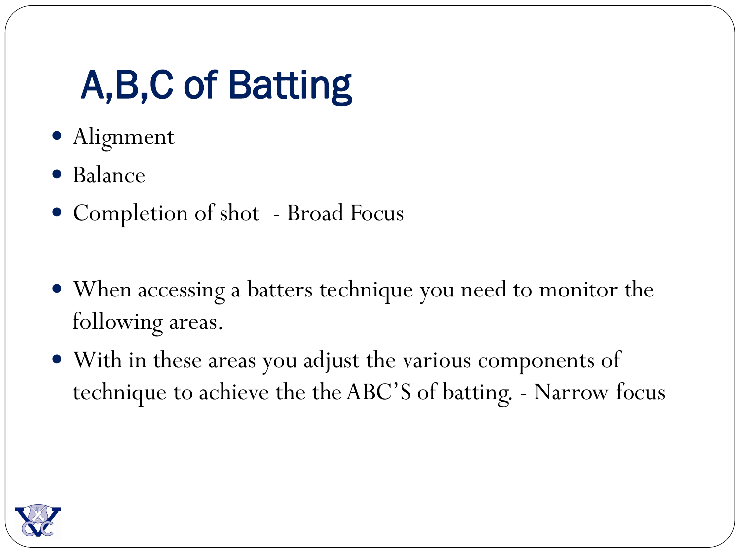# A,B,C of Batting

- Alignment
- Balance
- Completion of shot Broad Focus
- When accessing a batters technique you need to monitor the following areas.
- With in these areas you adjust the various components of technique to achieve the the ABC'S of batting. - Narrow focus

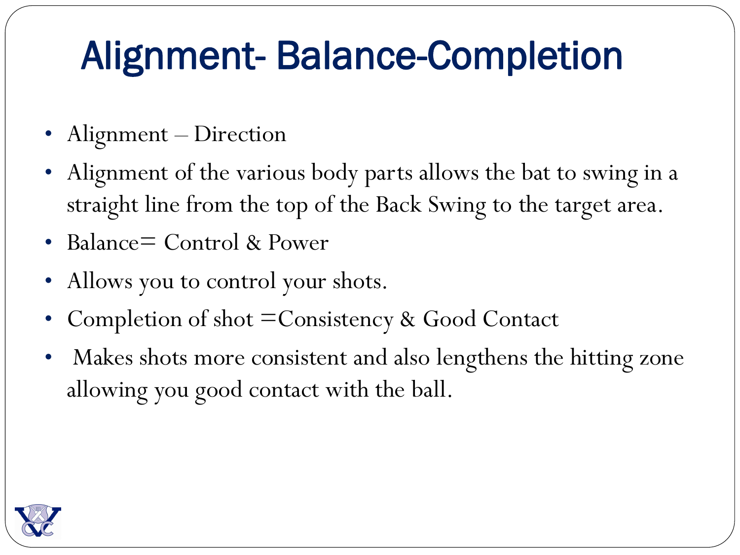# Alignment- Balance-Completion

- Alignment Direction
- Alignment of the various body parts allows the bat to swing in a straight line from the top of the Back Swing to the target area.
- Balance= Control & Power
- Allows you to control your shots.
- Completion of shot = Consistency & Good Contact
- Makes shots more consistent and also lengthens the hitting zone allowing you good contact with the ball.

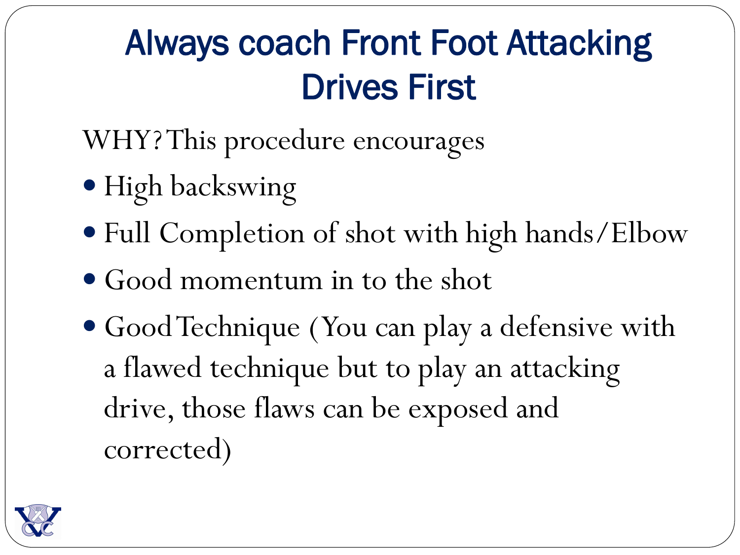### Always coach Front Foot Attacking Drives First

WHY? This procedure encourages

- High backswing
- Full Completion of shot with high hands/Elbow
- Good momentum in to the shot
- Good Technique ( You can play a defensive with a flawed technique but to play an attacking drive, those flaws can be exposed and corrected)

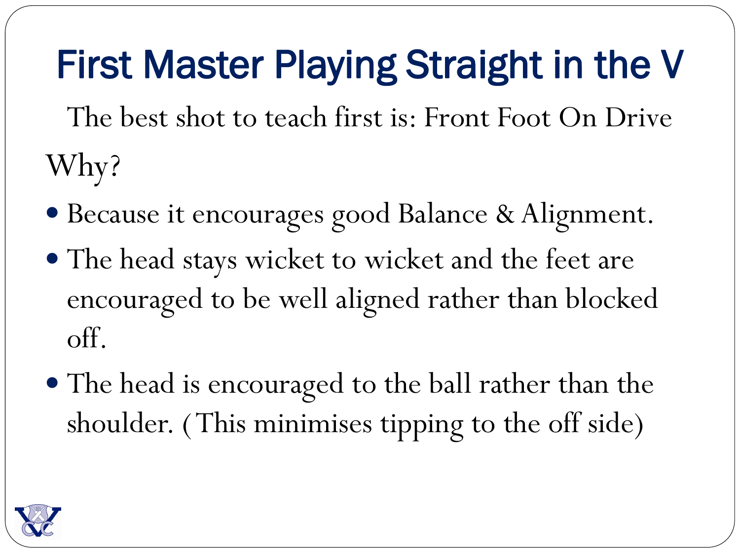# First Master Playing Straight in the V

The best shot to teach first is: Front Foot On Drive Why?

- Because it encourages good Balance & Alignment.
- The head stays wicket to wicket and the feet are encouraged to be well aligned rather than blocked off.
- The head is encouraged to the ball rather than the shoulder. ( This minimises tipping to the off side)

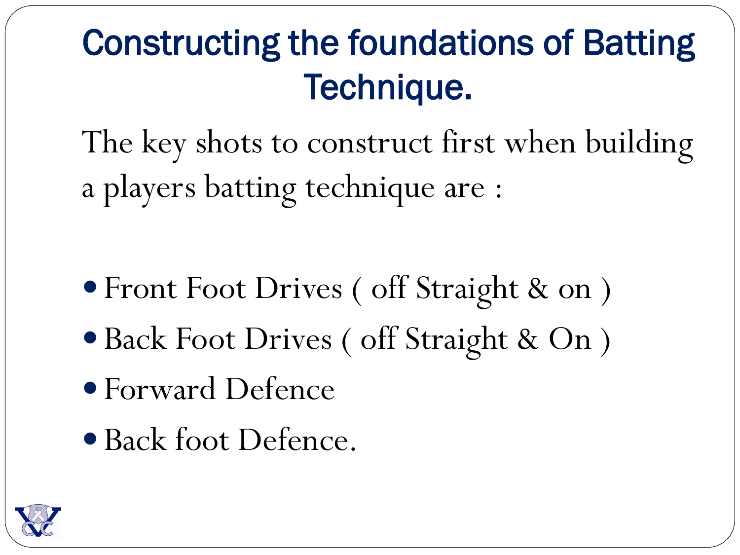### Constructing the foundations of Batting Technique.

The key shots to construct first when building a players batting technique are :

- Front Foot Drives ( off Straight & on )
- Back Foot Drives ( off Straight & On )
- Forward Defence
- Back foot Defence.

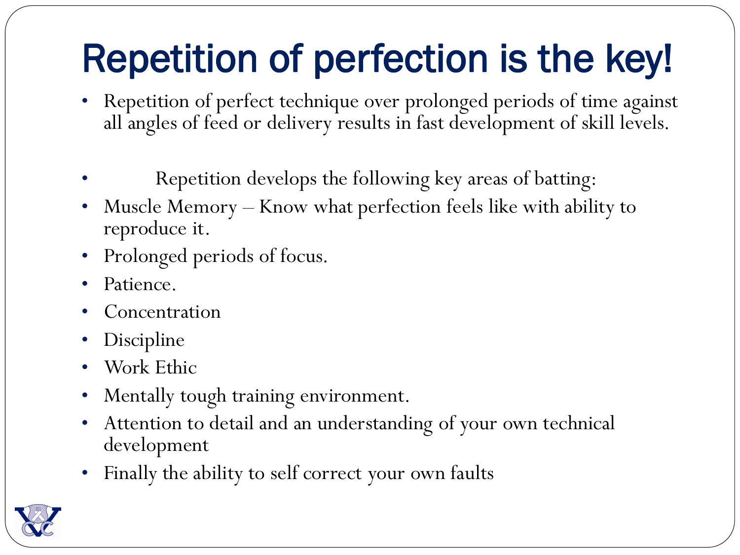# Repetition of perfection is the key!

- Repetition of perfect technique over prolonged periods of time against all angles of feed or delivery results in fast development of skill levels.
- Repetition develops the following key areas of batting:
- Muscle Memory Know what perfection feels like with ability to reproduce it.
- Prolonged periods of focus.
- Patience.
- **Concentration**
- Discipline
- Work Ethic
- Mentally tough training environment.
- Attention to detail and an understanding of your own technical development
- Finally the ability to self correct your own faults

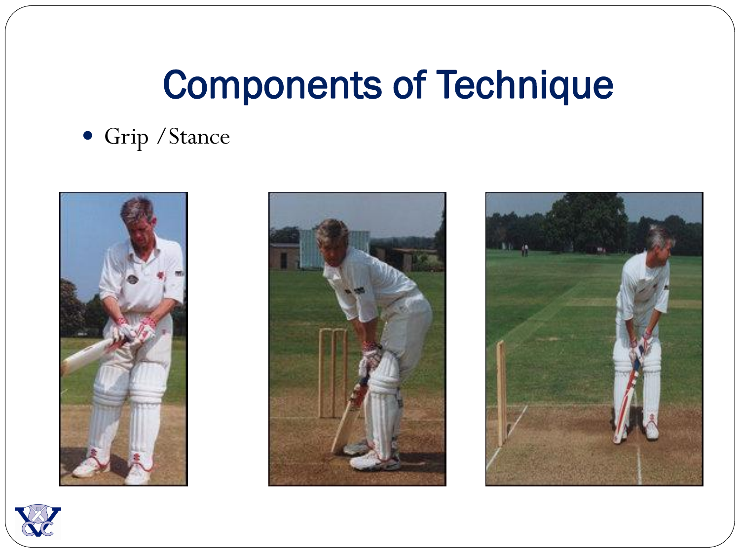# Components of Technique

### Grip /Stance







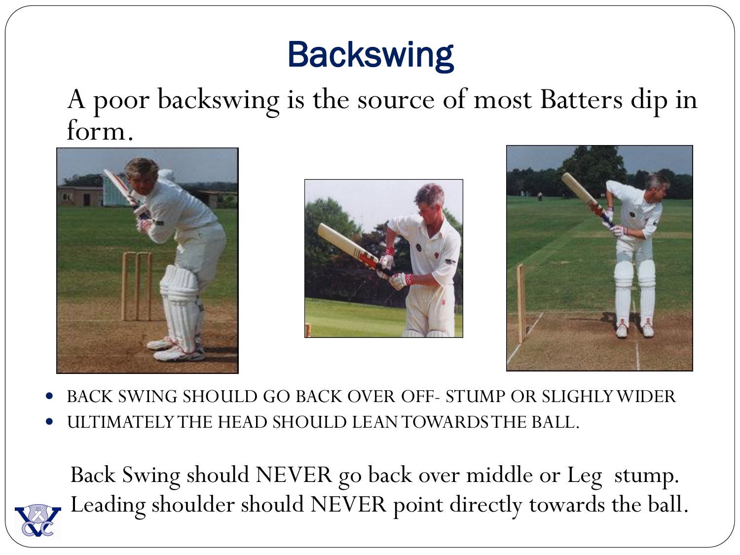### **Backswing**

A poor backswing is the source of most Batters dip in form.







- BACK SWING SHOULD GO BACK OVER OFF- STUMP OR SLIGHLY WIDER
- ULTIMATELY THE HEAD SHOULD LEAN TOWARDS THE BALL.

Back Swing should NEVER go back over middle or Leg stump. Leading shoulder should NEVER point directly towards the ball.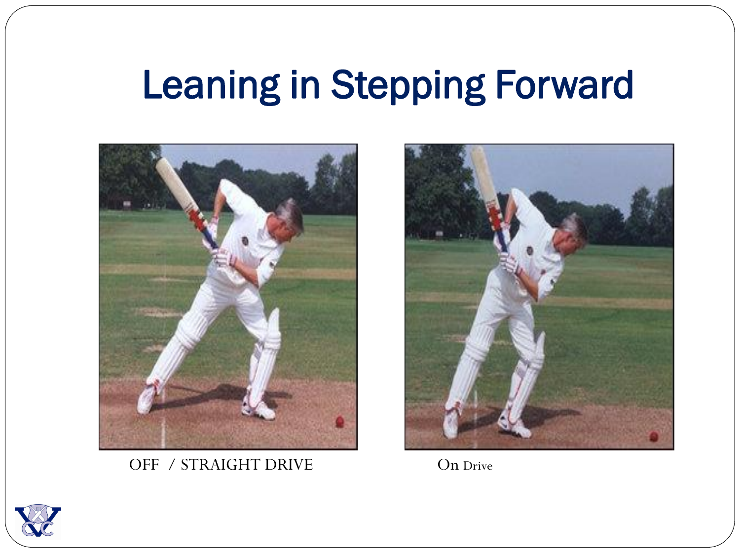## Leaning in Stepping Forward



OFF / STRAIGHT DRIVE On Drive



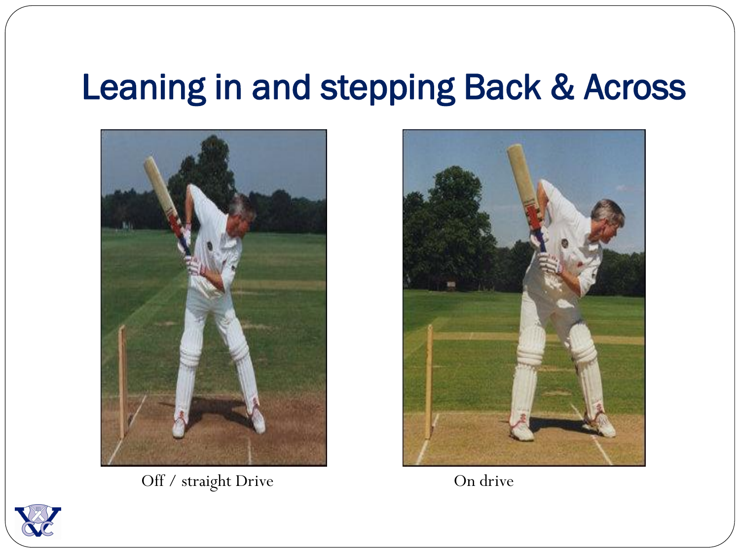### Leaning in and stepping Back & Across



Off / straight Drive On drive



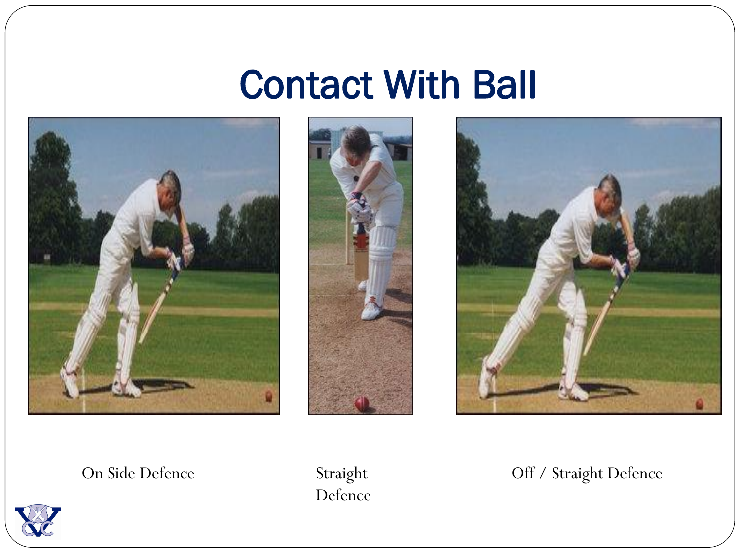### Contact With Ball







Defence

#### On Side Defence Straight Off / Straight Defence

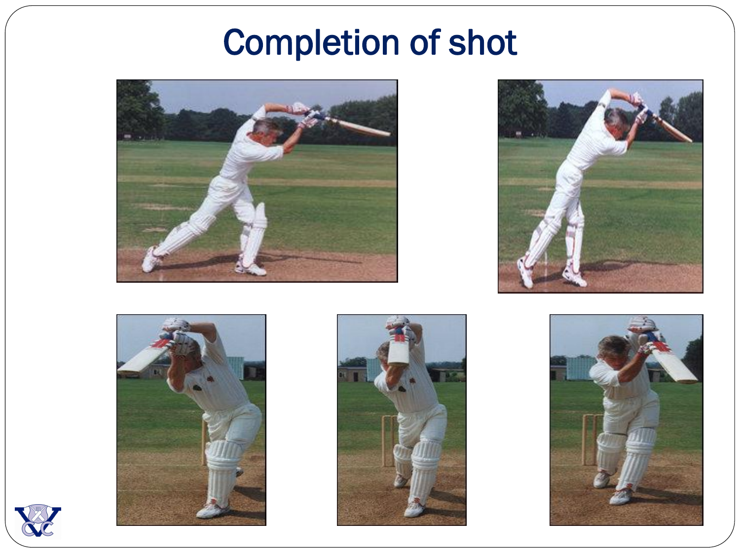### Completion of shot











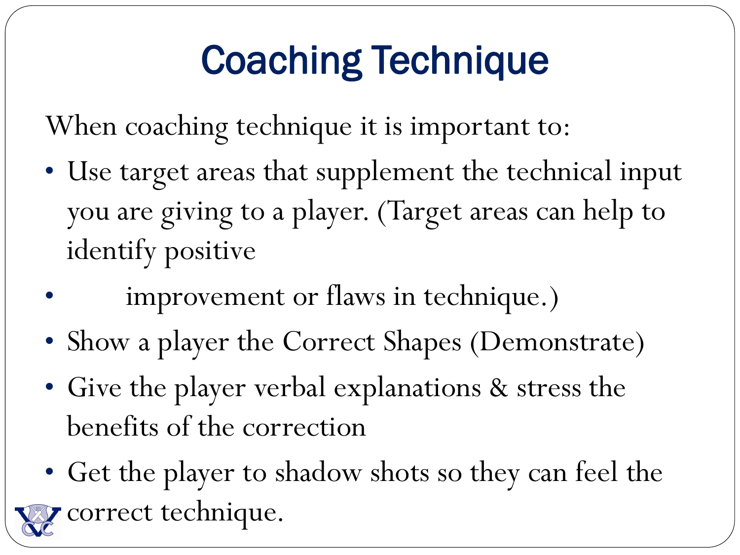# Coaching Technique

When coaching technique it is important to:

- Use target areas that supplement the technical input you are giving to a player. (Target areas can help to identify positive
- improvement or flaws in technique.)
- Show a player the Correct Shapes (Demonstrate)
- Give the player verbal explanations & stress the benefits of the correction
- Get the player to shadow shots so they can feel the correct technique.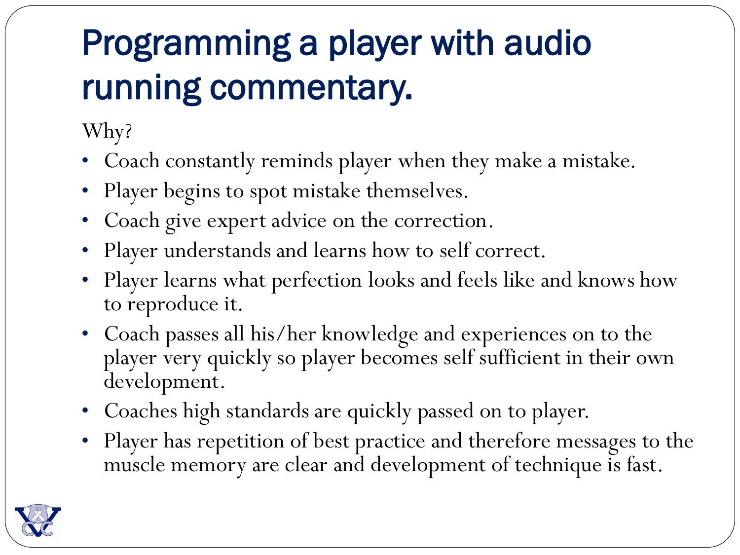## Programming a player with audio running commentary.

Why?

- Coach constantly reminds player when they make a mistake.
- Player begins to spot mistake themselves.
- Coach give expert advice on the correction.
- Player understands and learns how to self correct.
- Player learns what perfection looks and feels like and knows how to reproduce it.
- Coach passes all his/her knowledge and experiences on to the player very quickly so player becomes self sufficient in their own development.
- Coaches high standards are quickly passed on to player.
- Player has repetition of best practice and therefore messages to the muscle memory are clear and development of technique is fast.

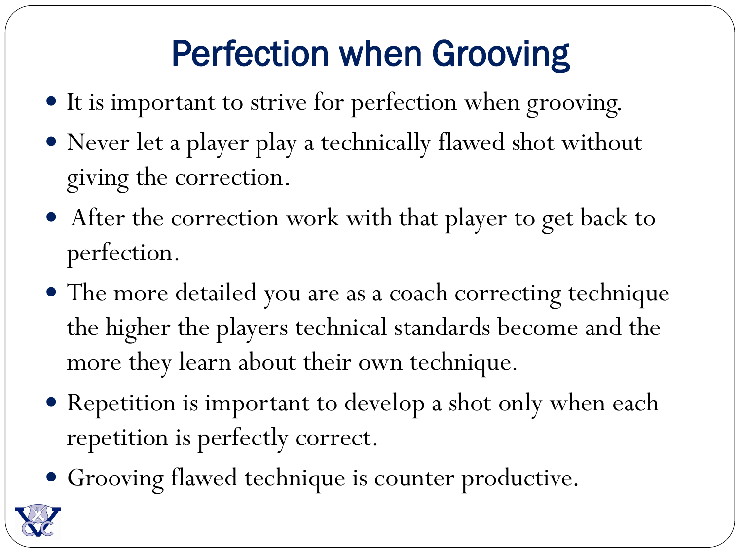### Perfection when Grooving

- It is important to strive for perfection when grooving.
- Never let a player play a technically flawed shot without giving the correction.
- After the correction work with that player to get back to perfection.
- The more detailed you are as a coach correcting technique the higher the players technical standards become and the more they learn about their own technique.
- Repetition is important to develop a shot only when each repetition is perfectly correct.
- Grooving flawed technique is counter productive.

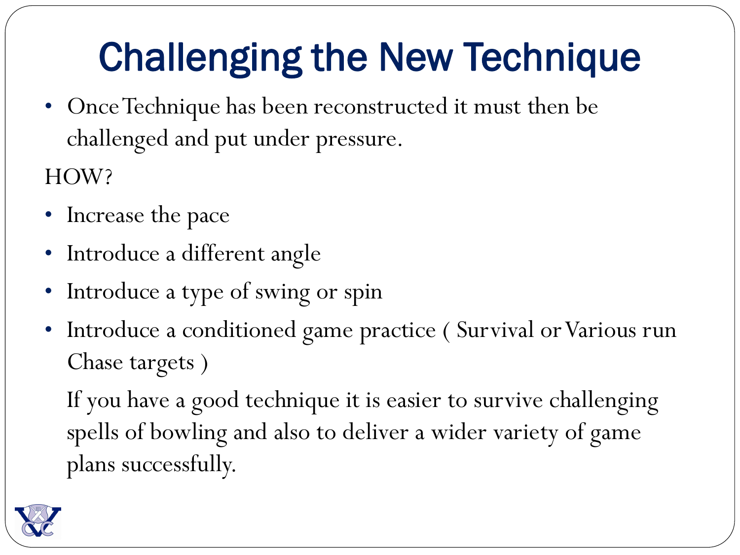# Challenging the New Technique

• Once Technique has been reconstructed it must then be challenged and put under pressure.

HOW?

- Increase the pace
- Introduce a different angle
- Introduce a type of swing or spin
- Introduce a conditioned game practice ( Survival or Various run Chase targets )

If you have a good technique it is easier to survive challenging spells of bowling and also to deliver a wider variety of game plans successfully.

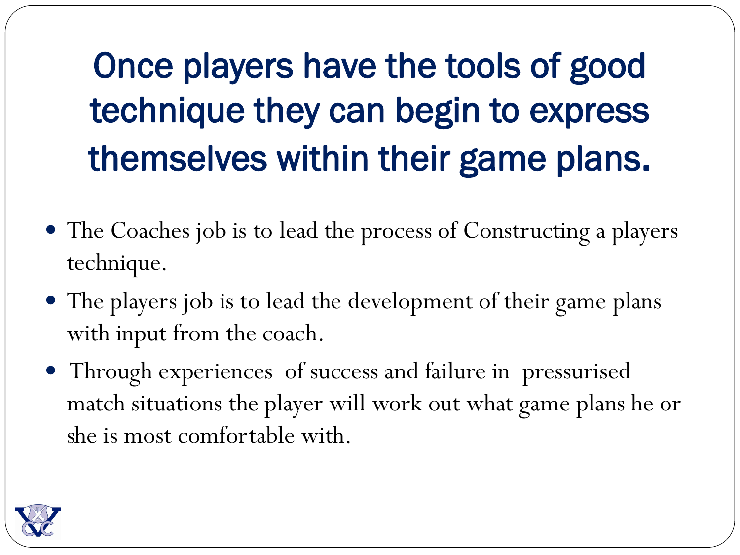# Once players have the tools of good technique they can begin to express themselves within their game plans.

- The Coaches job is to lead the process of Constructing a players technique.
- The players job is to lead the development of their game plans with input from the coach.
- Through experiences of success and failure in pressurised match situations the player will work out what game plans he or she is most comfortable with.

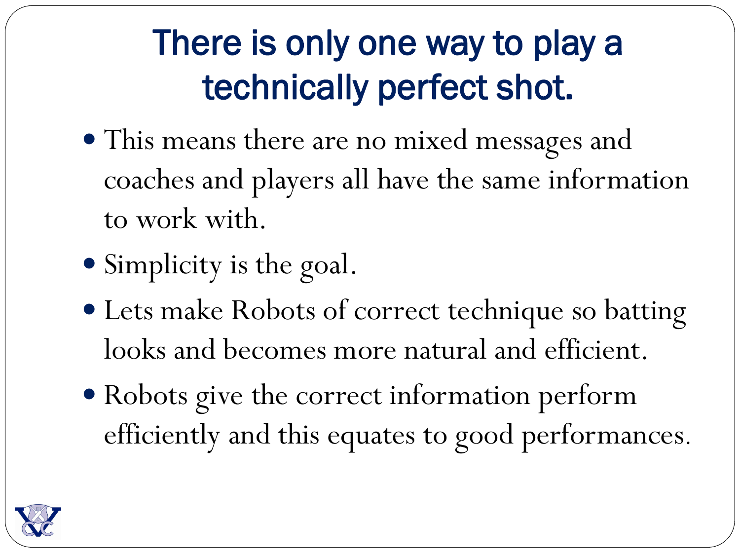### There is only one way to play a technically perfect shot.

- This means there are no mixed messages and coaches and players all have the same information to work with.
- Simplicity is the goal.
- Lets make Robots of correct technique so batting looks and becomes more natural and efficient.
- Robots give the correct information perform efficiently and this equates to good performances.

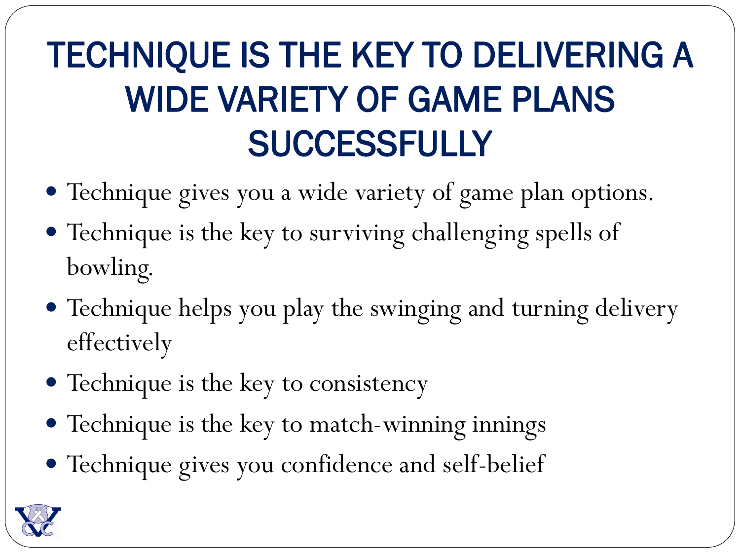# TECHNIQUE IS THE KEY TO DELIVERING A WIDE VARIETY OF GAME PLANS **SUCCESSFULLY**

- Technique gives you a wide variety of game plan options.
- Technique is the key to surviving challenging spells of bowling.
- Technique helps you play the swinging and turning delivery effectively
- Technique is the key to consistency
- Technique is the key to match-winning innings
- Technique gives you confidence and self-belief

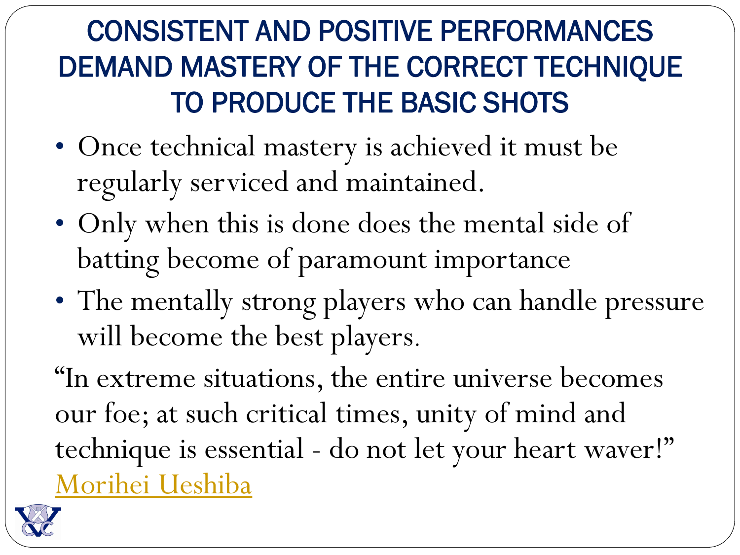### CONSISTENT AND POSITIVE PERFORMANCES DEMAND MASTERY OF THE CORRECT TECHNIQUE TO PRODUCE THE BASIC SHOTS

- Once technical mastery is achieved it must be regularly serviced and maintained.
- Only when this is done does the mental side of batting become of paramount importance
- The mentally strong players who can handle pressure will become the best players.
- "In extreme situations, the entire universe becomes our foe; at such critical times, unity of mind and technique is essential - do not let your heart waver!" [Morihei Ueshiba](http://www.brainyquote.com/quotes/quotes/m/moriheiues183879.html)

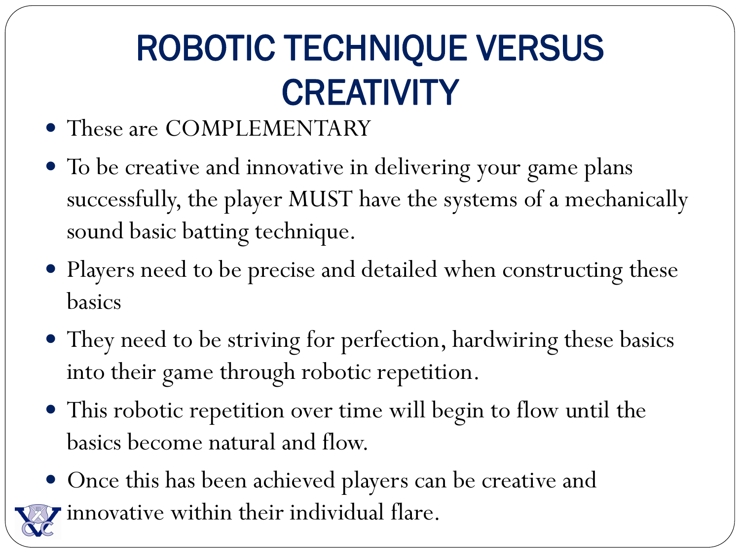# ROBOTIC TECHNIQUE VERSUS **CREATIVITY**

- These are COMPLEMENTARY
- To be creative and innovative in delivering your game plans successfully, the player MUST have the systems of a mechanically sound basic batting technique.
- Players need to be precise and detailed when constructing these basics
- They need to be striving for perfection, hardwiring these basics into their game through robotic repetition.
- This robotic repetition over time will begin to flow until the basics become natural and flow.
- Once this has been achieved players can be creative and innovative within their individual flare.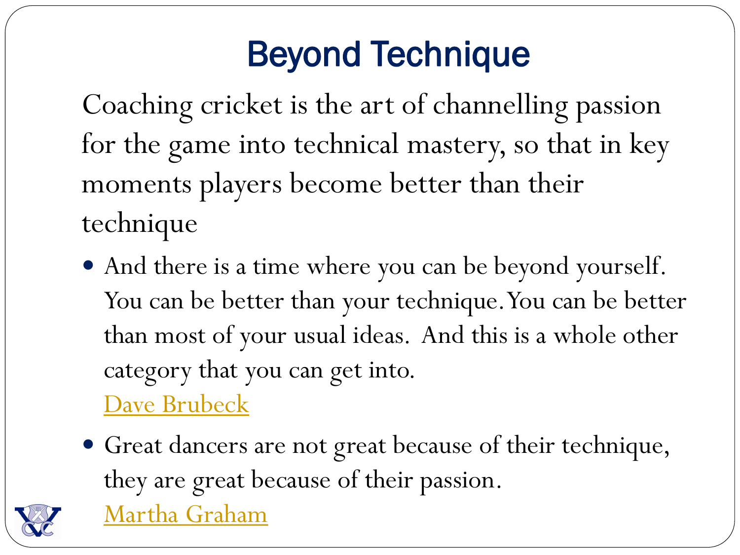### Beyond Technique

Coaching cricket is the art of channelling passion for the game into technical mastery, so that in key moments players become better than their technique

 And there is a time where you can be beyond yourself. You can be better than your technique. You can be better than most of your usual ideas. And this is a whole other category that you can get into.

[Dave Brubeck](http://www.brainyquote.com/quotes/quotes/d/davebrubec261196.html)

 Great dancers are not great because of their technique, they are great because of their passion. [Martha Graham](http://www.brainyquote.com/quotes/quotes/m/marthagrah133358.html)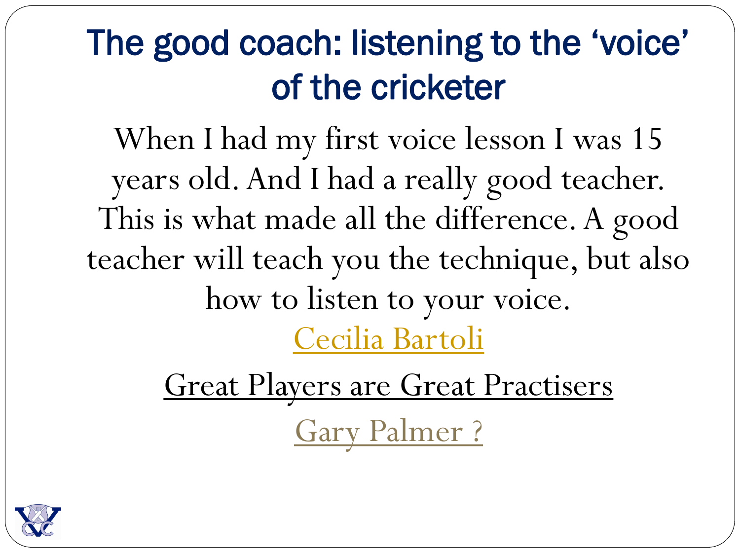### The good coach: listening to the 'voice' of the cricketer

When I had my first voice lesson I was 15 years old. And I had a really good teacher. This is what made all the difference. A good teacher will teach you the technique, but also how to listen to your voice. [Cecilia Bartoli](http://www.brainyquote.com/quotes/quotes/c/ceciliabar202848.html)

> Great Players are Great Practisers Gary Palmer ?

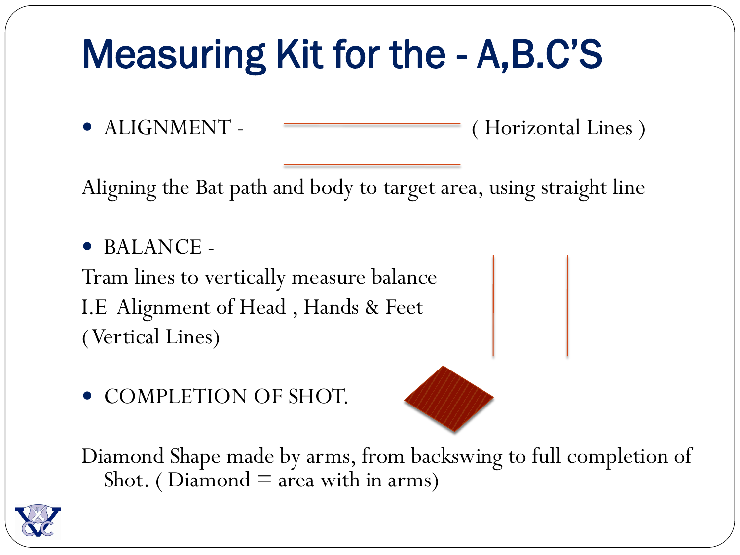# Measuring Kit for the - A,B.C'S

• ALIGNMENT - <del>Contract Contract Contract Contract Contract Contract Contract Contract Contract Contract Contract Contract Contract Contract Contract Contract Contract Contract Contract Contract Contract Contract Contract </del>

Aligning the Bat path and body to target area, using straight line

 BALANCE - Tram lines to vertically measure balance I.E Alignment of Head , Hands & Feet ( Vertical Lines)

• COMPLETION OF SHOT.



Diamond Shape made by arms, from backswing to full completion of Shot. (Diamond  $=$  area with in arms)

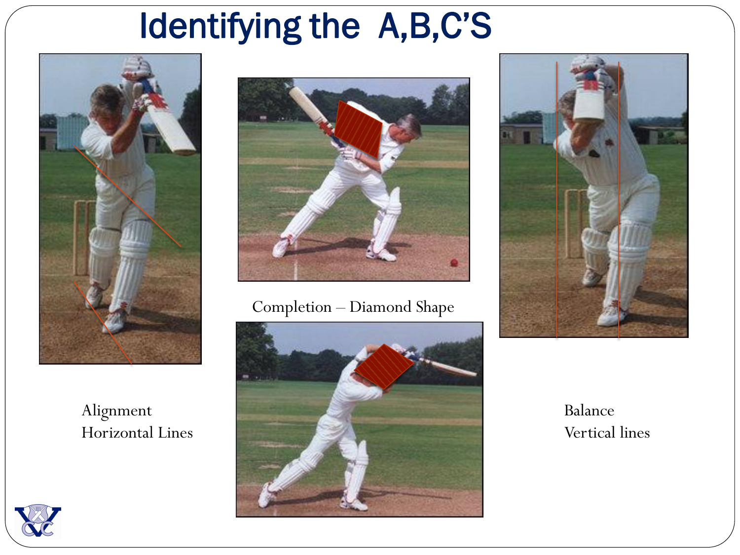### Identifying the A,B,C'S



Alignment Horizontal Lines



#### Completion – Diamond Shape





#### Balance Vertical lines

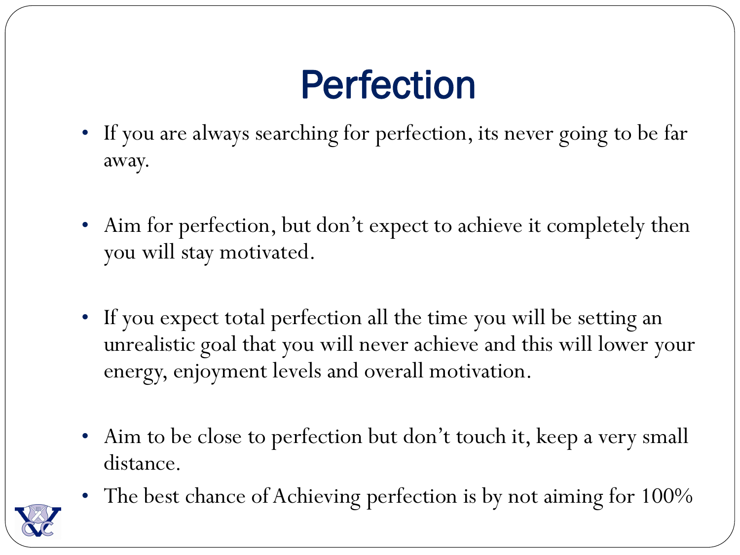# Perfection

- If you are always searching for perfection, its never going to be far away.
- Aim for perfection, but don't expect to achieve it completely then you will stay motivated.
- If you expect total perfection all the time you will be setting an unrealistic goal that you will never achieve and this will lower your energy, enjoyment levels and overall motivation.
- Aim to be close to perfection but don't touch it, keep a very small distance.
- The best chance of Achieving perfection is by not aiming for 100%